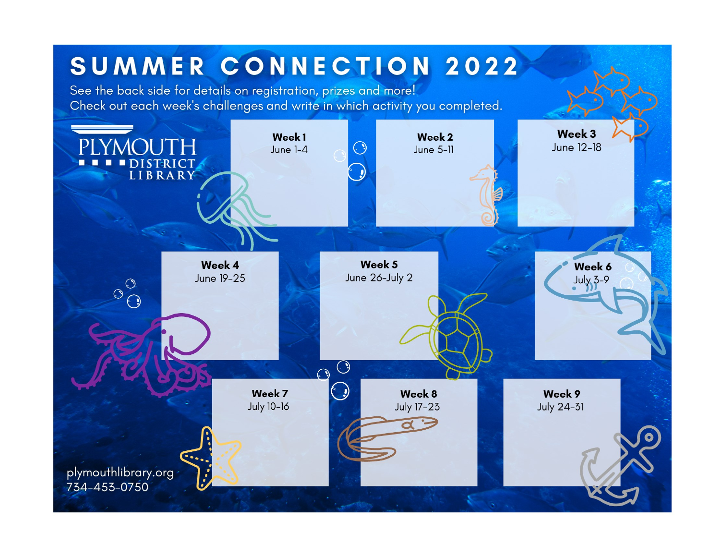